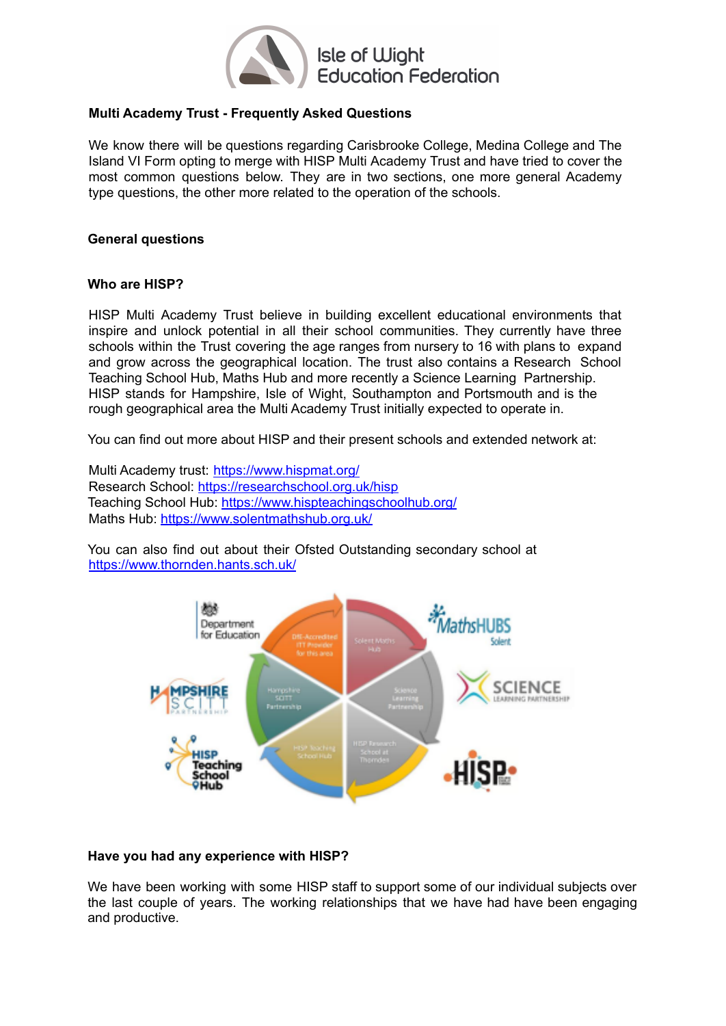

# **Multi Academy Trust - Frequently Asked Questions**

We know there will be questions regarding Carisbrooke College, Medina College and The Island VI Form opting to merge with HISP Multi Academy Trust and have tried to cover the most common questions below. They are in two sections, one more general Academy type questions, the other more related to the operation of the schools.

# **General questions**

# **Who are HISP?**

HISP Multi Academy Trust believe in building excellent educational environments that inspire and unlock potential in all their school communities. They currently have three schools within the Trust covering the age ranges from nursery to 16 with plans to expand and grow across the geographical location. The trust also contains a Research School Teaching School Hub, Maths Hub and more recently a Science Learning Partnership. HISP stands for Hampshire, Isle of Wight, Southampton and Portsmouth and is the rough geographical area the Multi Academy Trust initially expected to operate in.

You can find out more about HISP and their present schools and extended network at:

Multi Academy trust: https://www.hispmat.org/ Research School: https://researchschool.org.uk/hisp Teaching School Hub: https://www.hispteachingschoolhub.org/ Maths Hub: https://www.solentmathshub.org.uk/

You can also find out about their Ofsted Outstanding secondary school at https://www.thornden.hants.sch.uk/



### **Have you had any experience with HISP?**

We have been working with some HISP staff to support some of our individual subjects over the last couple of years. The working relationships that we have had have been engaging and productive.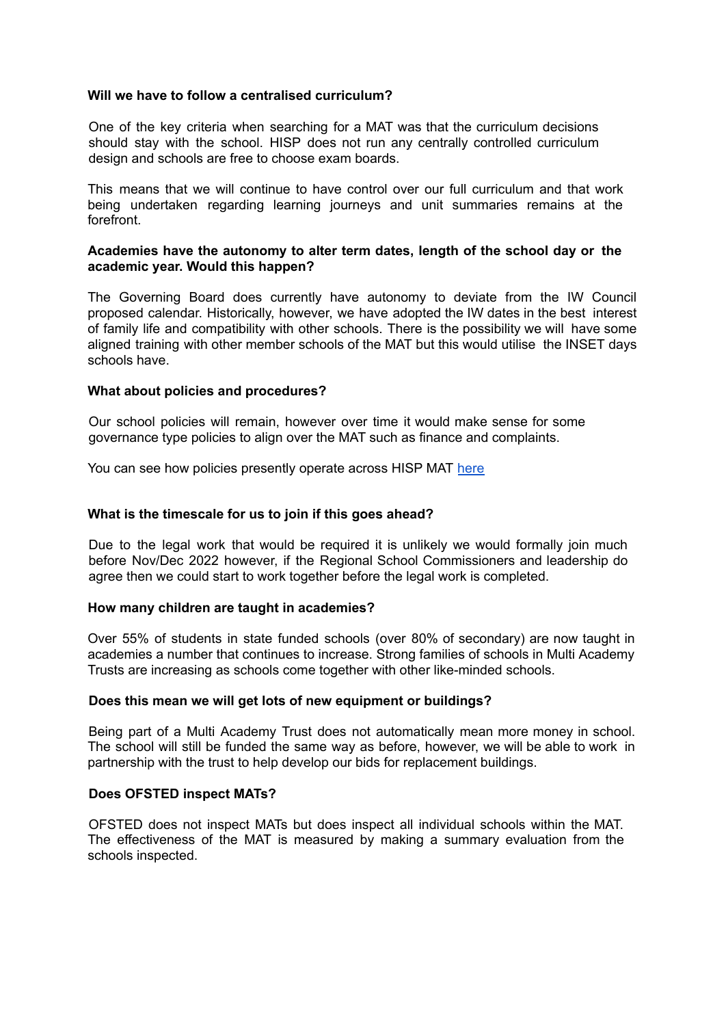### **Will we have to follow a centralised curriculum?**

One of the key criteria when searching for a MAT was that the curriculum decisions should stay with the school. HISP does not run any centrally controlled curriculum design and schools are free to choose exam boards.

This means that we will continue to have control over our full curriculum and that work being undertaken regarding learning journeys and unit summaries remains at the forefront.

### **Academies have the autonomy to alter term dates, length of the school day or the academic year. Would this happen?**

The Governing Board does currently have autonomy to deviate from the IW Council proposed calendar. Historically, however, we have adopted the IW dates in the best interest of family life and compatibility with other schools. There is the possibility we will have some aligned training with other member schools of the MAT but this would utilise the INSET days schools have.

### **What about policies and procedures?**

Our school policies will remain, however over time it would make sense for some governance type policies to align over the MAT such as finance and complaints.

You can see how policies presently operate across HISP MAT [here](https://www.hispmat.org/page/?title=Policies+%26amp%3B+Other+Information&pid=2%206)

### **What is the timescale for us to join if this goes ahead?**

Due to the legal work that would be required it is unlikely we would formally join much before Nov/Dec 2022 however, if the Regional School Commissioners and leadership do agree then we could start to work together before the legal work is completed.

### **How many children are taught in academies?**

Over 55% of students in state funded schools (over 80% of secondary) are now taught in academies a number that continues to increase. Strong families of schools in Multi Academy Trusts are increasing as schools come together with other like-minded schools.

### **Does this mean we will get lots of new equipment or buildings?**

Being part of a Multi Academy Trust does not automatically mean more money in school. The school will still be funded the same way as before, however, we will be able to work in partnership with the trust to help develop our bids for replacement buildings.

### **Does OFSTED inspect MATs?**

OFSTED does not inspect MATs but does inspect all individual schools within the MAT. The effectiveness of the MAT is measured by making a summary evaluation from the schools inspected.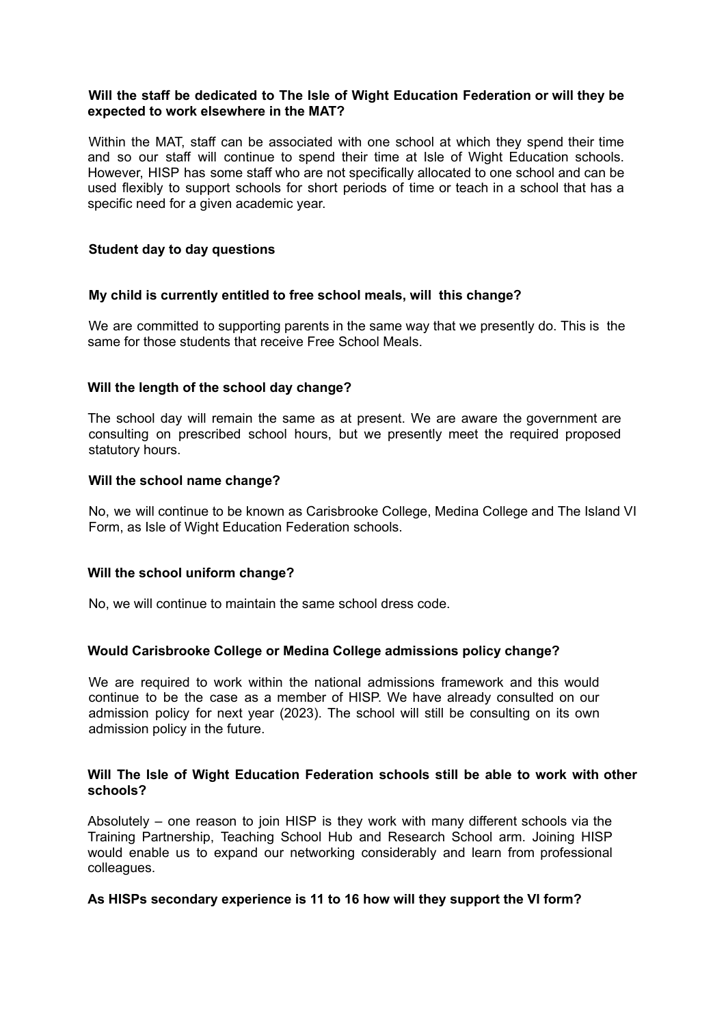# **Will the staff be dedicated to The Isle of Wight Education Federation or will they be expected to work elsewhere in the MAT?**

Within the MAT, staff can be associated with one school at which they spend their time and so our staff will continue to spend their time at Isle of Wight Education schools. However, HISP has some staff who are not specifically allocated to one school and can be used flexibly to support schools for short periods of time or teach in a school that has a specific need for a given academic year.

# **Student day to day questions**

### **My child is currently entitled to free school meals, will this change?**

We are committed to supporting parents in the same way that we presently do. This is the same for those students that receive Free School Meals.

### **Will the length of the school day change?**

The school day will remain the same as at present. We are aware the government are consulting on prescribed school hours, but we presently meet the required proposed statutory hours.

### **Will the school name change?**

No, we will continue to be known as Carisbrooke College, Medina College and The Island VI Form, as Isle of Wight Education Federation schools.

### **Will the school uniform change?**

No, we will continue to maintain the same school dress code.

### **Would Carisbrooke College or Medina College admissions policy change?**

We are required to work within the national admissions framework and this would continue to be the case as a member of HISP. We have already consulted on our admission policy for next year (2023). The school will still be consulting on its own admission policy in the future.

### **Will The Isle of Wight Education Federation schools still be able to work with other schools?**

Absolutely – one reason to join HISP is they work with many different schools via the Training Partnership, Teaching School Hub and Research School arm. Joining HISP would enable us to expand our networking considerably and learn from professional colleagues.

### **As HISPs secondary experience is 11 to 16 how will they support the VI form?**